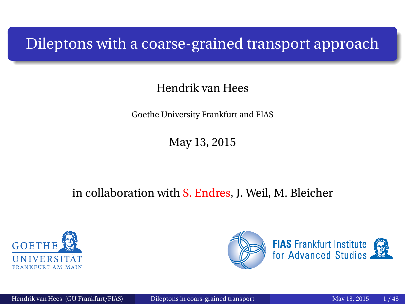#### <span id="page-0-0"></span>Dileptons with a coarse-grained transport approach

#### Hendrik van Hees

Goethe University Frankfurt and FIAS

May 13, 2015

#### in collaboration with S. Endres, J. Weil, M. Bleicher



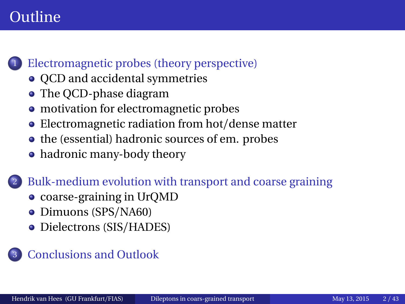## **Outline**

#### [Electromagnetic probes \(theory perspective\)](#page-3-0)

- OCD and accidental symmetries
- The OCD-phase diagram
- [motivation for electromagnetic probes](#page-7-0)
- [Electromagnetic radiation from hot](#page-8-0)/dense matter
- [the \(essential\) hadronic sources of em. probes](#page-9-0)
- [hadronic many-body theory](#page-11-0)

[Bulk-medium evolution with transport and coarse graining](#page-17-0)

- [coarse-graining in UrQMD](#page-19-0)
- [Dimuons \(SPS](#page-24-0)/NA60)
- [Dielectrons \(SIS](#page-43-0)/HADES)

#### **[Conclusions and Outlook](#page-58-0)**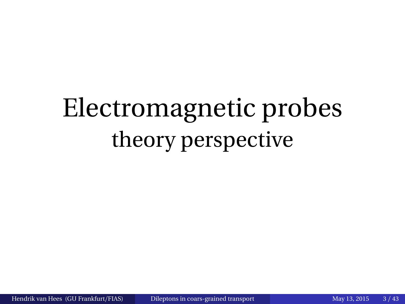# Electromagnetic probes theory perspective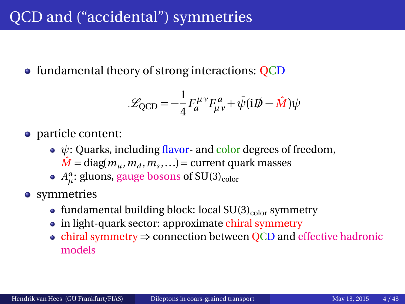# <span id="page-3-0"></span>QCD and ("accidental") symmetries

• fundamental theory of strong interactions: QCD

$$
\mathcal{L}_{\text{QCD}} = -\frac{1}{4} F_a^{\mu\nu} F_{\mu\nu}^a + \bar{\psi} (i\mathcal{D} - \hat{M}) \psi
$$

- particle content:
	- *ψ*: Quarks, including flavor- and color degrees of freedom,  $\hat{M}$  = diag( $m_u$ ,  $m_d$ ,  $m_s$ ,...) = current quark masses
	- $A_\mu^a$ : gluons, gauge bosons of SU(3)<sub>color</sub>
- **•** symmetries
	- fundamental building block: local  $SU(3)_{color}$  symmetry
	- in light-quark sector: approximate chiral symmetry
	- chiral symmetry ⇒ connection between QCD and effective hadronic models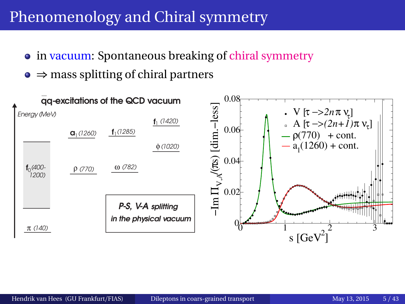# Phenomenology and Chiral symmetry

- in vacuum: Spontaneous breaking of chiral symmetry
- $\bullet \Rightarrow$  mass splitting of chiral partners

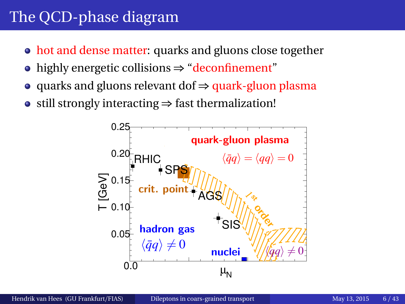# <span id="page-5-0"></span>The QCD-phase diagram

- hot and dense matter: quarks and gluons close together
- highly energetic collisions ⇒ "deconfinement"
- quarks and gluons relevant dof ⇒ quark-gluon plasma
- still strongly interacting  $\Rightarrow$  fast thermalization!

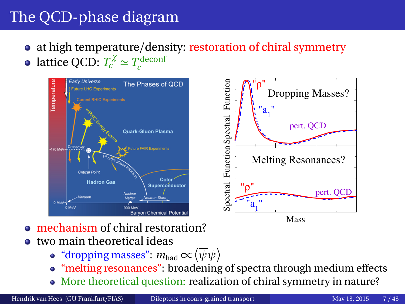# The QCD-phase diagram

- at high temperature/density: restoration of chiral symmetry
- lattice QCD:  $T_c^{\chi} \simeq T_c^{\text{deconf}}$



- mechanism of chiral restoration?
- two main theoretical ideas
	- "dropping masses":  $m_{\rm had}\!\propto\! \left\langle\overline{\psi}\psi\right\rangle$
	- "melting resonances": broadening of spectra through medium effects
	- More theoretical question: realization of chiral symmetry in nature?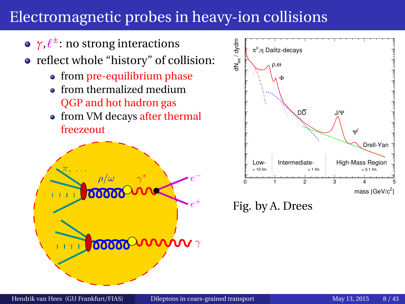# <span id="page-7-0"></span>Electromagnetic probes in heavy-ion collisions

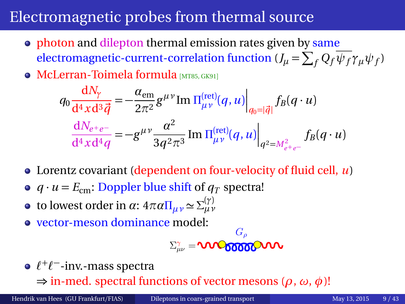# <span id="page-8-0"></span>Electromagnetic probes from thermal source

- photon and dilepton thermal emission rates given by same  $\epsilon$  electromagnetic-current-correlation function ( $J_\mu = \sum_f Q_f \psi_f \gamma_\mu \psi_f$ )
- **McLerran-Toimela formula** [[MT85,](#page-62-0) [GK91](#page-61-0)]

$$
q_0 \frac{dN_{\gamma}}{d^4x d^3 \vec{q}} = -\frac{\alpha_{em}}{2\pi^2} g^{\mu\nu} \text{Im} \left. \Pi_{\mu\nu}^{(\text{ret})}(q, u) \right|_{q_0 = |\vec{q}|} f_B(q \cdot u)
$$

$$
\frac{dN_{e^+e^-}}{d^4x d^4q} = -g^{\mu\nu} \frac{\alpha^2}{3q^2 \pi^3} \text{Im} \left. \Pi_{\mu\nu}^{(\text{ret})}(q, u) \right|_{q^2 = M_{e^+e^-}^2} f_B(q \cdot u)
$$

- Lorentz covariant (dependent on four-velocity of fluid cell, *u*)
- $q \cdot u = E_{cm}$ : Doppler blue shift of  $q_T$  spectra!
- to lowest order in *α*: 4πα $\Pi_{\mu\nu}$   $\simeq$   $\Sigma_{\mu\nu}^{(\gamma)}$
- vector-meson dominance model:

$$
\Sigma_{\mu\nu}^{\gamma}=\text{VIVO6666}^{\text{G}_{\rho}}\text{VIV}
$$

*`* +*`* <sup>−</sup>-inv.-mass spectra

⇒ in-med. spectral functions of vector mesons (*ρ*, *ω*, *φ*)!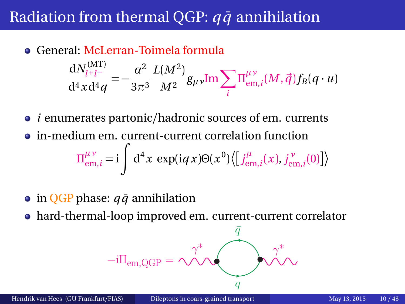# <span id="page-9-0"></span>Radiation from thermal QGP:  $q\bar{q}$  annihilation

- General: McLerran-Toimela formula  $dN_{l+l-}^{\rm (MT)}$  $rac{dN_{l+l-}^{(W1)}}{d^4x d^4q} = -\frac{\alpha^2}{3\pi^2}$ 3*π*3  $L(M^2)$  $\frac{(M-1)}{M^2}g_{\mu\nu}$ Im $\sum_i$ *i Π µν*  $_{\text{em},i}^{\mu\nu}(M, \vec{q})f_B(q\cdot u)$
- *i* enumerates partonic/hadronic sources of em. currents
- in-medium em. current-current correlation function  $\Pi^{\mu\nu}_{em,i} = i$  $\sqrt{ }$  $d^4x \exp(iqx)\Theta(x^0)\left\{\frac{j^{\mu}_{e}}{q^2}\right\}$  $j_{\text{em},i}^{\mu}(x)$ ,  $j_{\text{en}}^{\nu}$  $\binom{\mathcal{V}}{\rm{em},\mathit{i}}(0)\big]\big\rangle$
- $\bullet$  in QGP phase:  $q\bar{q}$  annihilation
- hard-thermal-loop improved em. current-current correlator

$$
-i\Pi_{em,QGP} = \underbrace{\gamma^*}_{q} \underbrace{\eta^*}_{q}
$$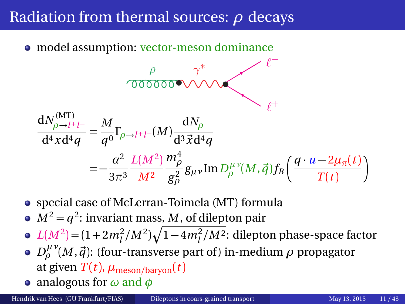## Radiation from thermal sources: *ρ* decays

• model assumption: vector-meson dominance

$$
\frac{\rho}{\sqrt{000000}} \sqrt{\sqrt{2}} \frac{\gamma^*}{\sqrt{2}} = \frac{M}{q^0} \Gamma_{\rho \to l^+l^-}(M) \frac{dN_\rho}{d^3 \vec{x} d^4 q}
$$
  
= 
$$
-\frac{\alpha^2}{3\pi^3} \frac{L(M^2)}{M^2} \frac{m_\rho^4}{g_\rho^2} g_{\mu\nu} \text{Im} D_\rho^{\mu\nu}(M, \vec{q}) f_B \left(\frac{q \cdot u - 2\mu_\pi(t)}{T(t)}\right)
$$

- special case of McLerran-Toimela (MT) formula
- $M^2 = q^2$ : invariant mass, *M*, of dilepton pair
- $L(M^2) = (1 + 2m_l^2/M^2) \sqrt{1 4m_l^2/M^2}$ : dilepton phase-space factor
- $D_\rho^{\mu\nu}(M,\vec{q})$ : (four-transverse part of) in-medium  $\rho$  propagator at given  $T(t)$ ,  $\mu_{\text{meson/barvon}}(t)$
- analogous for *ω* and *φ*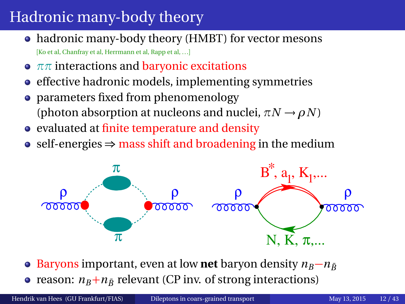# <span id="page-11-0"></span>Hadronic many-body theory

- hadronic many-body theory (HMBT) for vector mesons [Ko et al, Chanfray et al, Herrmann et al, Rapp et al, ...]
- **•**  $ππ$  interactions and **baryonic** excitations
- effective hadronic models, implementing symmetries
- parameters fixed from phenomenology (photon absorption at nucleons and nuclei,  $\pi N \rightarrow \rho N$ )
- evaluated at finite temperature and density
- self-energies  $\Rightarrow$  mass shift and broadening in the medium



• Baryons important, even at low **net** baryon density  $n_B - n_{\bar{B}}$ • reason:  $n_B + n_{\bar{B}}$  relevant (CP inv. of strong interactions)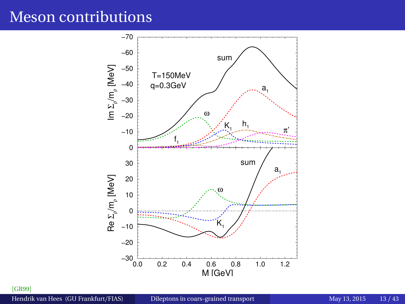#### Meson contributions



[[GR99](#page-61-1)]

Hendrik van Hees (GU Frankfurt/FIAS) [Dileptons in coars-grained transport](#page-0-0) May 13, 2015 13/43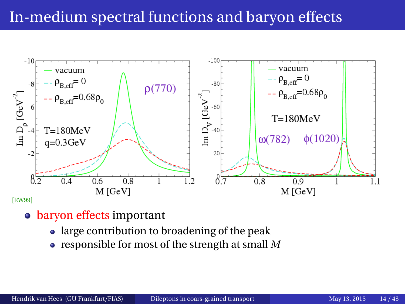# In-medium spectral functions and baryon effects



- baryon effects important
	- large contribution to broadening of the peak
	- responsible for most of the strength at small *M*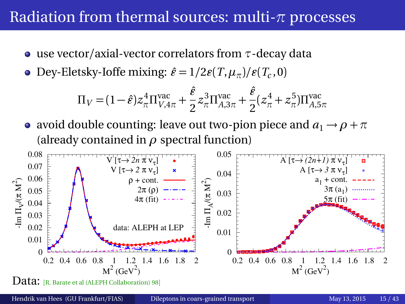#### Radiation from thermal sources: multi-*π* processes

- use vector/axial-vector correlators from *τ*-decay data
- Dey-Eletsky-Ioffe mixing:  $\hat{\varepsilon} = 1/2\mathcal{E}(T,\mu_\pi)/\mathcal{E}(T_c,0)$

$$
\Pi_V = (1 - \hat{\varepsilon}) z_\pi^4 \Pi_{V,4\pi}^{\text{vac}} + \frac{\hat{\varepsilon}}{2} z_\pi^3 \Pi_{A,3\pi}^{\text{vac}} + \frac{\hat{\varepsilon}}{2} (z_\pi^4 + z_\pi^5) \Pi_{A,5\pi}^{\text{vac}}
$$

• avoid double counting: leave out two-pion piece and  $a_1 \rightarrow \rho + \pi$ (already contained in  $\rho$  spectral function)

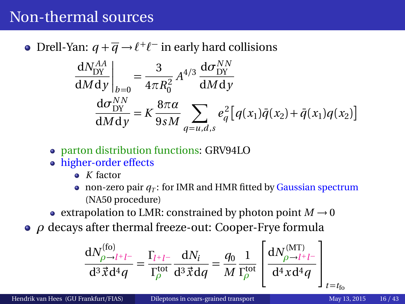## Non-thermal sources

Drell-Yan:  $q + \overline{q} \rightarrow l^+l^-$  in early hard collisions

$$
\frac{dN_{DY}^{AA}}{dMdy}\bigg|_{b=0} = \frac{3}{4\pi R_0^2} A^{4/3} \frac{d\sigma_{DY}^{NN}}{dMdy}
$$
\n
$$
\frac{d\sigma_{DY}^{NN}}{dMdy} = K \frac{8\pi a}{9sM} \sum_{q=u,d,s} e_q^2 [q(x_1)\bar{q}(x_2) + \bar{q}(x_1)q(x_2)]
$$

- parton distribution functions: GRV94LO
- higher-order effects
	- *K* factor
	- non-zero pair  $q_T$ : for IMR and HMR fitted by Gaussian spectrum (NA50 procedure)
- **extrapolation to LMR: constrained by photon point**  $M \rightarrow 0$
- *ρ* decays after thermal freeze-out: Cooper-Frye formula

$$
\frac{\mathrm{d}N_{\rho\to l^+l^-}^{(\text{fo})}}{\mathrm{d}^3\vec{x}\mathrm{d}^4q} = \frac{\Gamma_{l^+l^-}}{\Gamma_{\rho}^{\text{tot}}} \frac{\mathrm{d}N_i}{\mathrm{d}^3\vec{x}\mathrm{d}q} = \frac{q_0}{M} \frac{1}{\Gamma_{\rho}^{\text{tot}}} \left[ \frac{\mathrm{d}N_{\rho\to l^+l^-}^{(\text{MT})}}{\mathrm{d}^4x\mathrm{d}^4q} \right]_{t=t_{\text{fo}}}
$$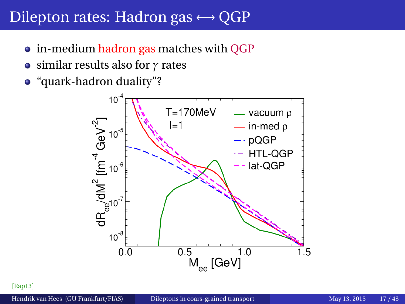#### Dilepton rates: Hadron gas  $\leftrightarrow$  OGP

- in-medium hadron gas matches with QGP
- similar results also for *γ* rates
- "quark-hadron duality"?



[[Rap13](#page-62-1)]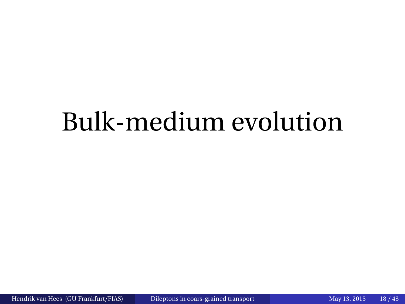# <span id="page-17-0"></span>Bulk-medium evolution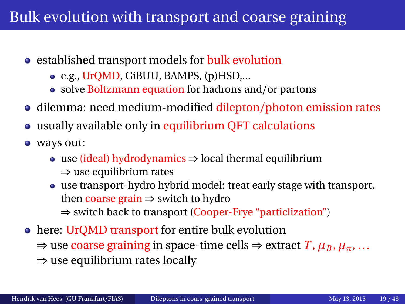# Bulk evolution with transport and coarse graining

- established transport models for bulk evolution
	- e.g., UrQMD, GiBUU, BAMPS, (p)HSD,...
	- solve Boltzmann equation for hadrons and/or partons
- dilemma: need medium-modified dilepton/photon emission rates
- usually available only in equilibrium QFT calculations
- ways out:
	- use (ideal) hydrodynamics ⇒ local thermal equilibrium ⇒ use equilibrium rates
	- use transport-hydro hybrid model: treat early stage with transport, then coarse grain ⇒ switch to hydro ⇒ switch back to transport (Cooper-Frye "particlization")
- here: UrQMD transport for entire bulk evolution  $\Rightarrow$  use coarse graining in space-time cells  $\Rightarrow$  extract *T*,  $\mu_B$ ,  $\mu_{\pi}$ , ...  $\Rightarrow$  use equilibrium rates locally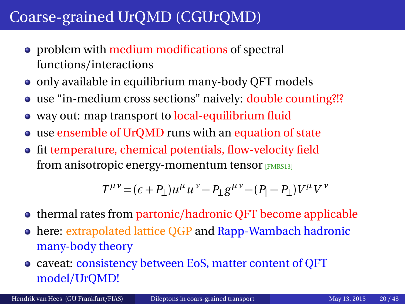- <span id="page-19-0"></span>• problem with medium modifications of spectral functions/interactions
- only available in equilibrium many-body QFT models
- use "in-medium cross sections" naively: double counting?!?
- way out: map transport to local-equilibrium fluid
- use ensemble of UrQMD runs with an equation of state
- fit temperature, chemical potentials, flow-velocity field from anisotropic energy-momentum tensor [[FMRS13](#page-61-2)]

 $T^{\mu\nu} = (\epsilon + P_{\perp})u^{\mu}u^{\nu} - P_{\perp}g^{\mu\nu} - (P_{\parallel} - P_{\perp})V^{\mu}V^{\nu}$ 

- thermal rates from partonic/hadronic QFT become applicable
- here: extrapolated lattice QGP and Rapp-Wambach hadronic many-body theory
- caveat: consistency between EoS, matter content of QFT model/UrQMD!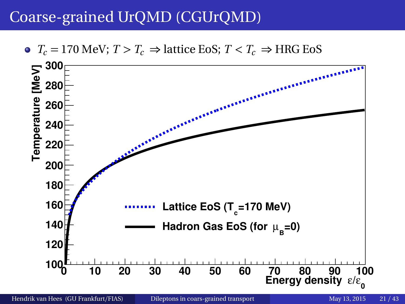$\bullet$  *T<sub>c</sub>* = 170 MeV; *T* > *T<sub>c</sub>* ⇒ lattice EoS; *T* < *T<sub>c</sub>* ⇒ HRG EoS

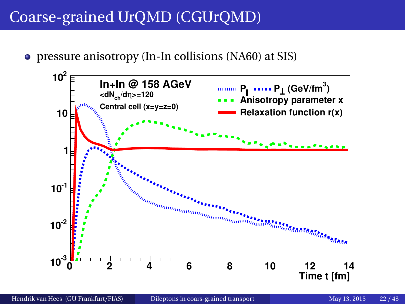pressure anisotropy (In-In collisions (NA60) at SIS)

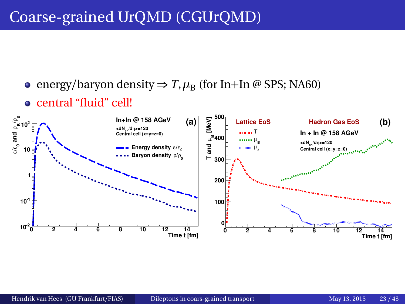- $\bullet$  energy/baryon density  $\Rightarrow T, \mu_B$  (for In+In @ SPS; NA60)
- central "fluid" cell!

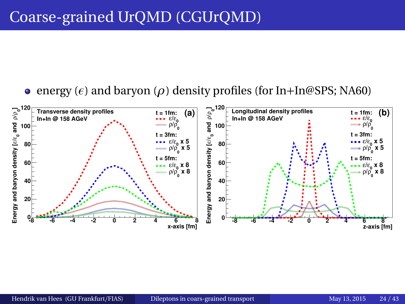#### **e** energy ( $\epsilon$ ) and baryon ( $\rho$ ) density profiles (for In+In@SPS; NA60)

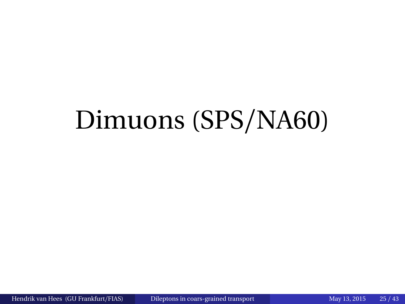# <span id="page-24-0"></span>Dimuons (SPS/NA60)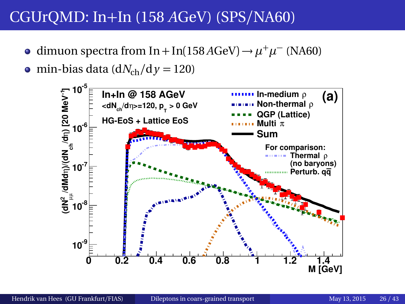- dimuon spectra from In + In(158 *A*GeV) →  $\mu^+ \mu^-$  (NA60)  $\bullet$
- $\bullet$  min-bias data (d*N*<sub>ch</sub>/d *y* = 120)

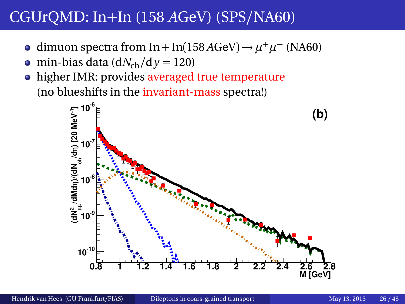- dimuon spectra from In + In(158 *A*GeV) →  $\mu^+ \mu^-$  (NA60)
- min-bias data ( $dN<sub>ch</sub>/d\gamma = 120$ )  $\bullet$
- higher IMR: provides averaged true temperature (no blueshifts in the invariant-mass spectra!)

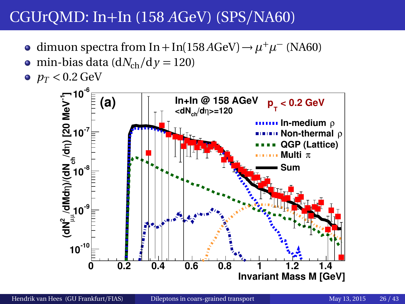- dimuon spectra from In + In(158 *A*GeV) →  $\mu^+ \mu^-$  (NA60)
- $\bullet$  min-bias data (d*N*<sub>ch</sub>/d  $\gamma$  = 120)
- $p_T < 0.2$  GeV

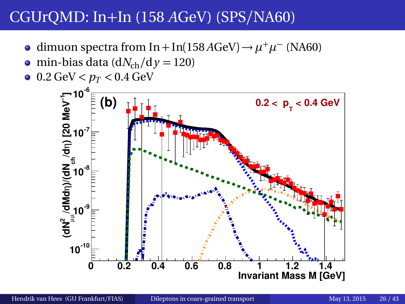- dimuon spectra from In + In(158 *A*GeV) →  $\mu^+ \mu^-$  (NA60)
- $\bullet$  min-bias data (d*N*<sub>ch</sub>/d  $\gamma$  = 120)
- $0.2 \text{ GeV} < p_T < 0.4 \text{ GeV}$

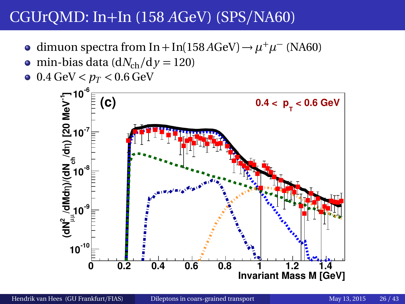- dimuon spectra from In + In(158 *A*GeV) →  $\mu^+ \mu^-$  (NA60)
- min-bias data ( $dN<sub>ch</sub>/d\gamma = 120$ )  $\bullet$
- $0.4 \text{ GeV} < p_T < 0.6 \text{ GeV}$

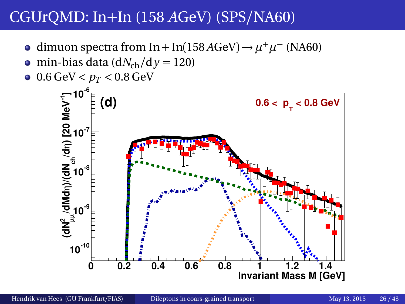- dimuon spectra from In + In(158 *A*GeV) →  $\mu^+ \mu^-$  (NA60)
- min-bias data ( $dN<sub>ch</sub>/d\gamma = 120$ )  $\bullet$
- $0.6 \,\text{GeV} < p_T < 0.8 \,\text{GeV}$

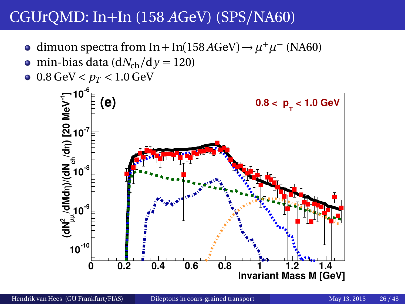- dimuon spectra from In + In(158 *A*GeV) →  $\mu^+ \mu^-$  (NA60)
- min-bias data ( $dN<sub>ch</sub>/d\gamma = 120$ )  $\bullet$
- $\bullet$  0.8 GeV  $< p_T < 1.0$  GeV

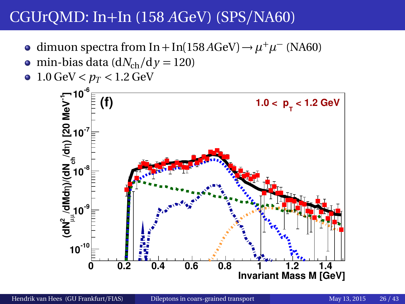- dimuon spectra from In + In(158 *A*GeV) →  $\mu^+ \mu^-$  (NA60)
- min-bias data ( $dN<sub>ch</sub>/d\gamma = 120$ )  $\bullet$
- 1.0 GeV  $< p_T < 1.2$  GeV

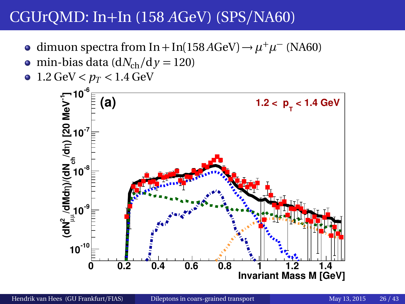- dimuon spectra from In + In(158 *A*GeV) →  $\mu^+ \mu^-$  (NA60)
- min-bias data ( $dN<sub>ch</sub>/d\gamma = 120$ )  $\bullet$
- $\bullet$  1.2 GeV  $< p_T < 1.4$  GeV

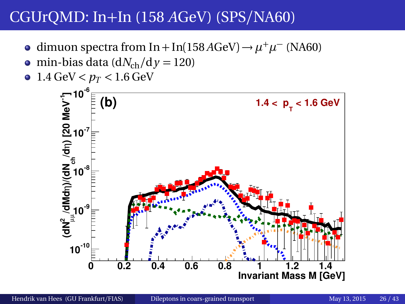- dimuon spectra from In + In(158 *A*GeV) →  $\mu^+ \mu^-$  (NA60)
- min-bias data ( $dN<sub>ch</sub>/d\gamma = 120$ )  $\bullet$
- $\bullet$  1.4 GeV <  $p_T$  < 1.6 GeV

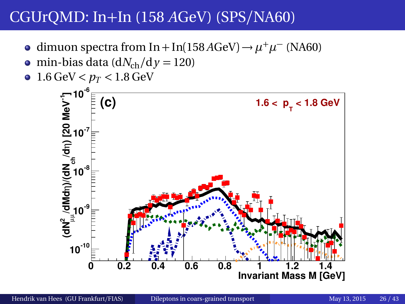- dimuon spectra from In + In(158 *A*GeV) →  $\mu^+ \mu^-$  (NA60)
- min-bias data ( $dN<sub>ch</sub>/d\gamma = 120$ )  $\bullet$
- 1.6 GeV  $< p_T < 1.8$  GeV

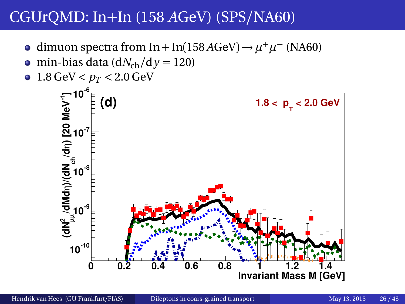- dimuon spectra from In + In(158 *A*GeV) →  $\mu^+ \mu^-$  (NA60)
- min-bias data ( $dN<sub>ch</sub>/d\gamma = 120$ )  $\bullet$
- 1.8 GeV  $< p_T < 2.0$  GeV

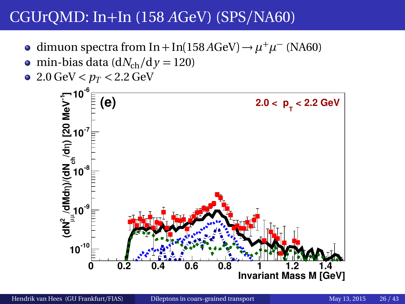- dimuon spectra from In + In(158 *A*GeV) →  $\mu^+ \mu^-$  (NA60)
- min-bias data ( $dN<sub>ch</sub>/d\gamma = 120$ )  $\bullet$
- $\bullet$  2.0 GeV  $< p_T < 2.2$  GeV

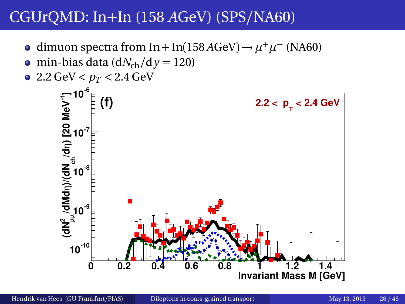- dimuon spectra from In + In(158 *A*GeV) →  $\mu^+ \mu^-$  (NA60)
- $\bullet$  min-bias data (d*N*<sub>ch</sub>/d  $\gamma$  = 120)
- $\bullet$  2.2 GeV  $< p_T < 2.4$  GeV

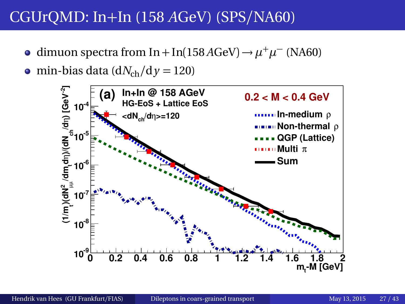- dimuon spectra from In + In(158 *A*GeV) →  $\mu^+ \mu^-$  (NA60)
- $\bullet$  min-bias data (d*N*<sub>ch</sub>/d *y* = 120)

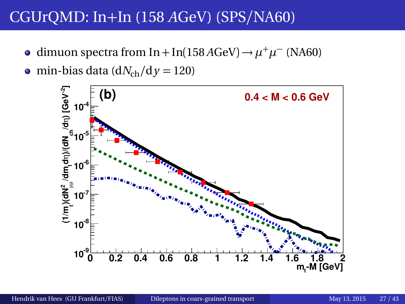- dimuon spectra from In + In(158 *A*GeV) →  $\mu^+ \mu^-$  (NA60)
- min-bias data ( $dN_{ch}/dy = 120$ )

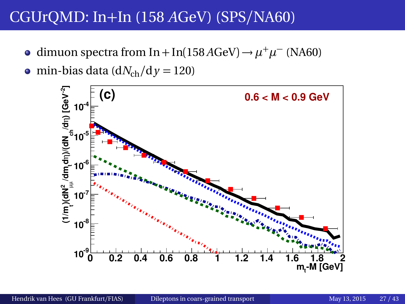- dimuon spectra from In + In(158 *A*GeV) →  $\mu^+ \mu^-$  (NA60)
- min-bias data ( $dN_{ch}/dy = 120$ )

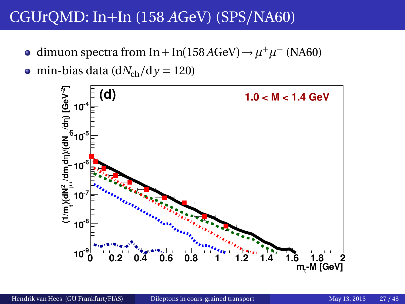dimuon spectra from In + In(158 *A*GeV) →  $\mu^+ \mu^-$  (NA60)

• min-bias data ( $dN_{ch}/dy = 120$ )

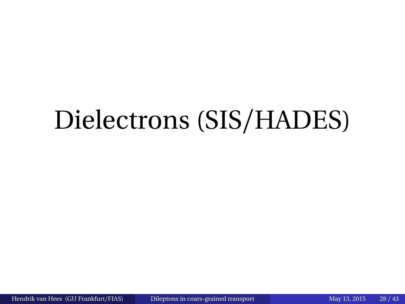# <span id="page-43-0"></span>Dielectrons (SIS/HADES)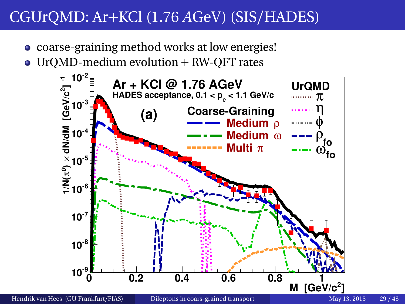- coarse-graining method works at low energies!
- UrQMD-medium evolution + RW-QFT rates

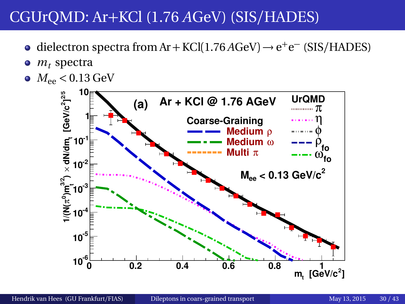- dielectron spectra from Ar + KCl(1.76 *A*GeV) → e<sup>+</sup>e<sup>-</sup> (SIS/HADES)
- $m<sub>t</sub>$  spectra  $\bullet$
- $M_{ee}$  < 0.13 GeV

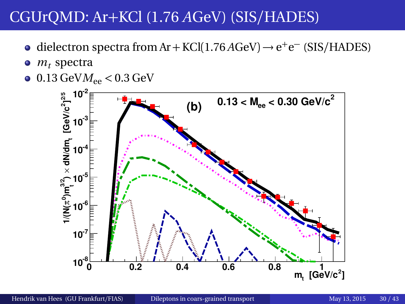- dielectron spectra from Ar + KCl(1.76 *A*GeV) → e<sup>+</sup>e<sup>-</sup> (SIS/HADES)
- $m<sub>t</sub>$  spectra  $\bullet$
- $\bullet$  0.13 GeV $M_{\rm ee}$  < 0.3 GeV

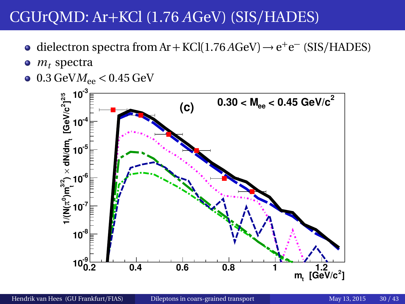- dielectron spectra from Ar + KCl(1.76 *A*GeV) → e<sup>+</sup>e<sup>-</sup> (SIS/HADES)
- $m<sub>t</sub>$  spectra  $\bullet$
- $\bullet$  0.3 GeV $M_{ee}$  < 0.45 GeV

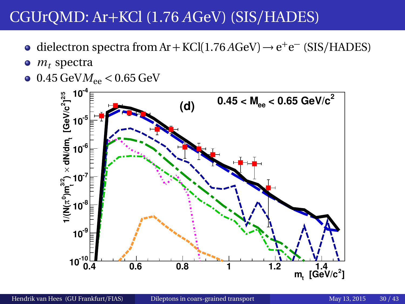- dielectron spectra from Ar + KCl(1.76 *A*GeV) → e<sup>+</sup>e<sup>-</sup> (SIS/HADES)
- $m<sub>t</sub>$  spectra  $\bullet$
- $\bullet$  0.45 GeV $M_{ee}$  < 0.65 GeV

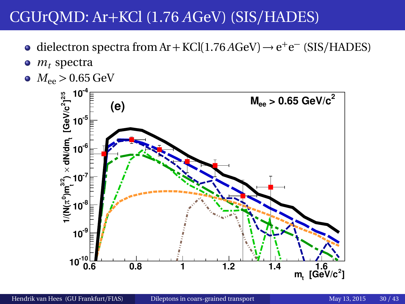- dielectron spectra from Ar + KCl(1.76 *A*GeV) → e<sup>+</sup>e<sup>-</sup> (SIS/HADES)
- $m<sub>t</sub>$  spectra  $\bullet$
- $M_{ee}$  > 0.65 GeV

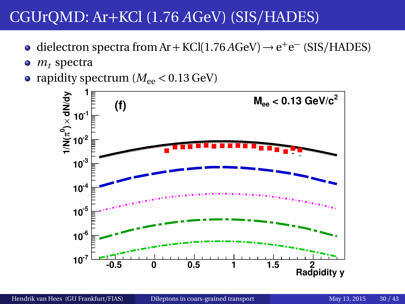- dielectron spectra from Ar + KCl(1.76 *A*GeV) → e<sup>+</sup>e<sup>-</sup> (SIS/HADES)
- $\bullet$  $m<sub>t</sub>$  spectra
- rapidity spectrum  $(M_{\text{ee}} < 0.13 \,\text{GeV})$

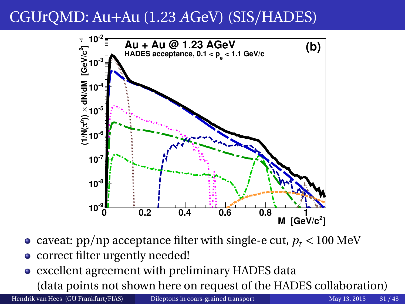# CGUrQMD: Au+Au (1.23 *A*GeV) (SIS/HADES)



- caveat:  $pp/np$  acceptance filter with single-e cut,  $p_t < 100 \text{ MeV}$
- correct filter urgently needed!
- excellent agreement with preliminary HADES data

(data points not shown here on request of the HADES collaboration)

Hendrik van Hees (GU Frankfurt/FIAS) [Dileptons in coars-grained transport](#page-0-0) May 13, 2015 31 / 43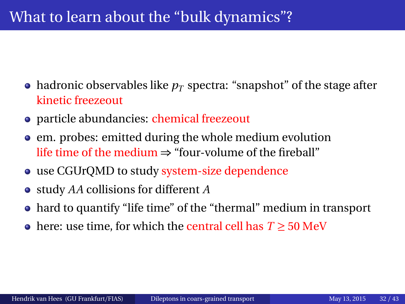# What to learn about the "bulk dynamics"?

- hadronic observables like  $p_T$  spectra: "snapshot" of the stage after kinetic freezeout
- particle abundancies: chemical freezeout
- em. probes: emitted during the whole medium evolution life time of the medium  $\Rightarrow$  "four-volume of the fireball"
- use CGUrQMD to study system-size dependence
- study *AA* collisions for different *A*
- hard to quantify "life time" of the "thermal" medium in transport
- here: use time, for which the central cell has *T* ≥ 50 MeV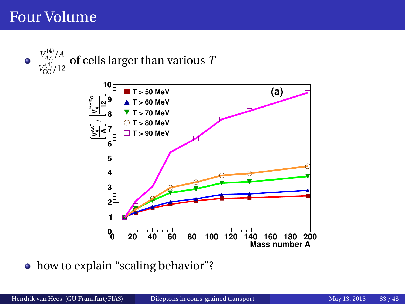#### Four Volume





• how to explain "scaling behavior"?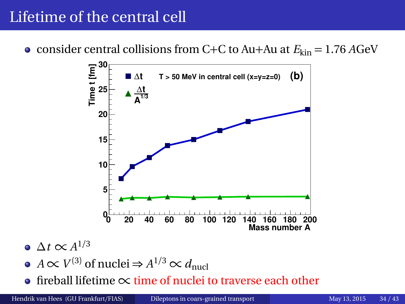# Lifetime of the central cell

• consider central collisions from C+C to Au+Au at  $E_{kin} = 1.76$  *A*GeV



- $\Delta t$  ∝  $A^{1/3}$
- *A* ∝ *V*<sup>(3)</sup> of nuclei ⇒ *A*<sup>1/3</sup> ∝ *d*<sub>nucl</sub>
- fireball lifetime  $\propto$  time of nuclei to traverse each other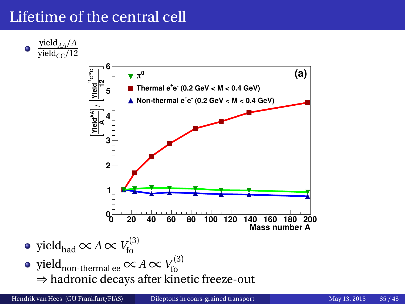# Lifetime of the central cell

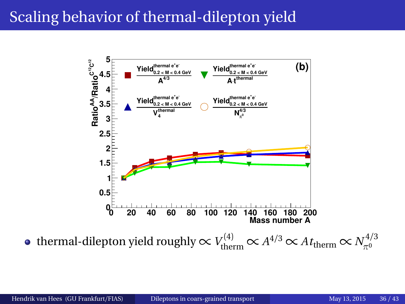# Scaling behavior of thermal-dilepton yield



thermal-dilepton yield roughly  $\propto$   $V_{\rm therm}^{(4)}$   $\propto$   $A^{4/3}$   $\propto$   $At_{\rm therm}$   $\propto$   $N_{\pi^0}^{4/3}$ *π*0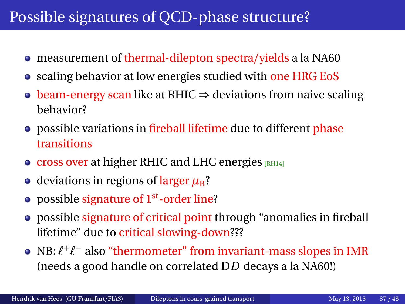## Possible signatures of QCD-phase structure?

- measurement of thermal-dilepton spectra/yields a la NA60
- scaling behavior at low energies studied with one HRG EoS
- beam-energy scan like at RHIC  $\Rightarrow$  deviations from naive scaling behavior?
- possible variations in fireball lifetime due to different phase transitions
- $\bullet$  cross over at higher RHIC and LHC energies  $[RH]$
- deviations in regions of larger  $\mu_B$ ?
- possible signature of  $1<sup>st</sup>$ -order line?
- possible signature of critical point through "anomalies in fireball lifetime" due to critical slowing-down???
- NB:  $\ell^+ \ell^-$  also "thermometer" from invariant-mass slopes in IMR (needs a good handle on correlated  $D\overline{D}$  decays a la NA60!)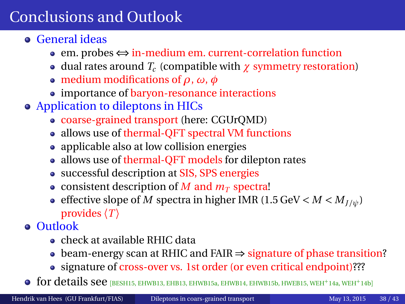# <span id="page-58-0"></span>Conclusions and Outlook

- General ideas
	- em. probes ⇔ in-medium em. current-correlation function
	- dual rates around *T<sup>c</sup>* (compatible with *χ* symmetry restoration)
	- medium modifications of *ρ*, *ω*, *φ*
	- importance of baryon-resonance interactions
- Application to dileptons in HICs
	- coarse-grained transport (here: CGUrQMD)
	- allows use of thermal-QFT spectral VM functions
	- applicable also at low collision energies
	- allows use of thermal-QFT models for dilepton rates
	- successful description at SIS, SPS energies
	- consistent description of *M* and  $m<sub>T</sub>$  spectra!
	- effective slope of *M* spectra in higher IMR (1.5 GeV  $\lt M \lt M_{I/\psi}$ ) provides  $\langle T \rangle$
- Outlook
	- check at available RHIC data
	- beam-energy scan at RHIC and FAIR ⇒ signature of phase transition?
	- signature of cross-over vs. 1st order (or even critical endpoint)???
- **o** for details see *[[BESH15,](#page-59-0) [EHWB13,](#page-59-1) [EHB13,](#page-59-2) [EHWB15a,](#page-60-0) [EHWB14,](#page-60-1) [EHWB15b,](#page-60-2) [HWEB15,](#page-62-3) [WEH](#page-63-3)<sup>+</sup>14a, WEH<sup>+</sup>14b]*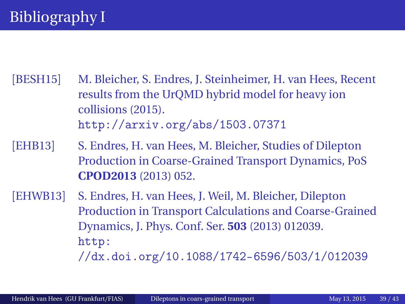- <span id="page-59-0"></span>[BESH15] M. Bleicher, S. Endres, J. Steinheimer, H. van Hees, Recent results from the UrQMD hybrid model for heavy ion collisions (2015). <http://arxiv.org/abs/1503.07371>
- <span id="page-59-2"></span>[EHB13] S. Endres, H. van Hees, M. Bleicher, Studies of Dilepton Production in Coarse-Grained Transport Dynamics, PoS **CPOD2013** (2013) 052.
- <span id="page-59-1"></span>[EHWB13] S. Endres, H. van Hees, J. Weil, M. Bleicher, Dilepton Production in Transport Calculations and Coarse-Grained Dynamics, J. Phys. Conf. Ser. **503** (2013) 012039. [http:](http://dx.doi.org/10.1088/1742-6596/503/1/012039)

[//dx.doi.org/10.1088/1742-6596/503/1/012039](http://dx.doi.org/10.1088/1742-6596/503/1/012039)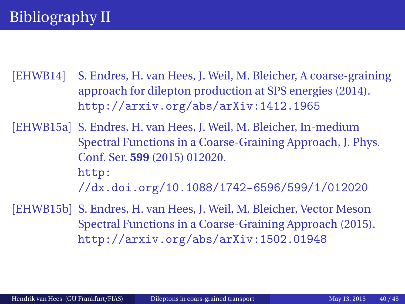<span id="page-60-1"></span>[EHWB14] S. Endres, H. van Hees, J. Weil, M. Bleicher, A coarse-graining approach for dilepton production at SPS energies (2014). <http://arxiv.org/abs/arXiv:1412.1965>

<span id="page-60-0"></span>[EHWB15a] S. Endres, H. van Hees, J. Weil, M. Bleicher, In-medium Spectral Functions in a Coarse-Graining Approach, J. Phys. Conf. Ser. **599** (2015) 012020. [http:](http://dx.doi.org/10.1088/1742-6596/599/1/012020) [//dx.doi.org/10.1088/1742-6596/599/1/012020](http://dx.doi.org/10.1088/1742-6596/599/1/012020)

<span id="page-60-2"></span>[EHWB15b] S. Endres, H. van Hees, J. Weil, M. Bleicher, Vector Meson Spectral Functions in a Coarse-Graining Approach (2015). <http://arxiv.org/abs/arXiv:1502.01948>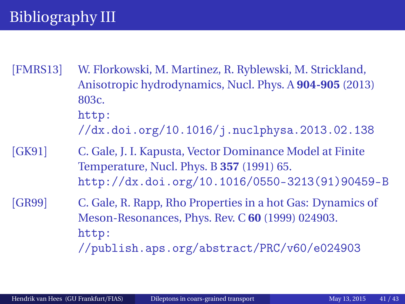# Bibliography III

<span id="page-61-2"></span>[FMRS13] W. Florkowski, M. Martinez, R. Ryblewski, M. Strickland, Anisotropic hydrodynamics, Nucl. Phys. A **904-905** (2013) 803c. [http:](http://dx.doi.org/10.1016/j.nuclphysa.2013.02.138) [//dx.doi.org/10.1016/j.nuclphysa.2013.02.138](http://dx.doi.org/10.1016/j.nuclphysa.2013.02.138) [GK91] C. Gale, J. I. Kapusta, Vector Dominance Model at Finite

<span id="page-61-0"></span>Temperature, Nucl. Phys. B **357** (1991) 65. [http://dx.doi.org/10.1016/0550-3213\(91\)90459-B](http://dx.doi.org/10.1016/0550-3213(91)90459-B)

<span id="page-61-1"></span>[GR99] C. Gale, R. Rapp, Rho Properties in a hot Gas: Dynamics of Meson-Resonances, Phys. Rev. C **60** (1999) 024903. [http:](http://publish.aps.org/abstract/PRC/v60/e024903) [//publish.aps.org/abstract/PRC/v60/e024903](http://publish.aps.org/abstract/PRC/v60/e024903)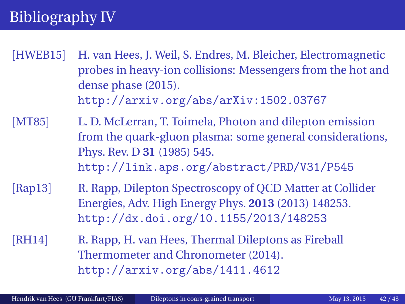# Bibliography IV

- <span id="page-62-3"></span>[HWEB15] H. van Hees, J. Weil, S. Endres, M. Bleicher, Electromagnetic probes in heavy-ion collisions: Messengers from the hot and dense phase (2015). <http://arxiv.org/abs/arXiv:1502.03767>
- <span id="page-62-0"></span>[MT85] L. D. McLerran, T. Toimela, Photon and dilepton emission from the quark-gluon plasma: some general considerations, Phys. Rev. D **31** (1985) 545. <http://link.aps.org/abstract/PRD/V31/P545>
- <span id="page-62-1"></span>[Rap13] R. Rapp, Dilepton Spectroscopy of QCD Matter at Collider Energies, Adv. High Energy Phys. **2013** (2013) 148253. <http://dx.doi.org/10.1155/2013/148253>
- <span id="page-62-2"></span>[RH14] R. Rapp, H. van Hees, Thermal Dileptons as Fireball Thermometer and Chronometer (2014). <http://arxiv.org/abs/1411.4612>